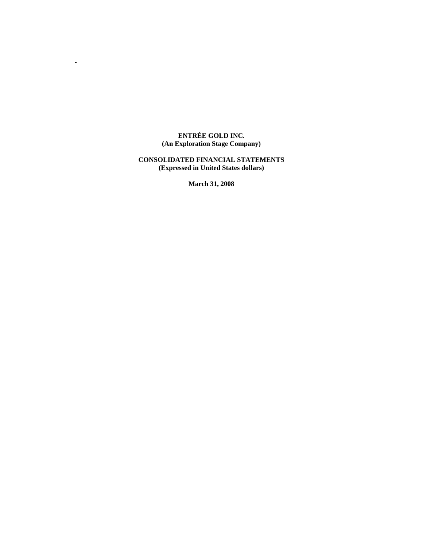#### **ENTRÉE GOLD INC. (An Exploration Stage Company)**

-

### **CONSOLIDATED FINANCIAL STATEMENTS (Expressed in United States dollars)**

**March 31, 2008**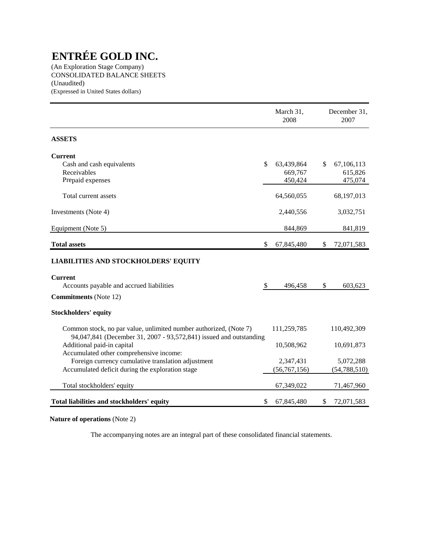(An Exploration Stage Company) CONSOLIDATED BALANCE SHEETS (Unaudited) (Expressed in United States dollars)

|                                                                                                                                         |               | March 31,<br>2008                | December 31,<br>2007                   |
|-----------------------------------------------------------------------------------------------------------------------------------------|---------------|----------------------------------|----------------------------------------|
| <b>ASSETS</b>                                                                                                                           |               |                                  |                                        |
| <b>Current</b><br>Cash and cash equivalents<br>Receivables<br>Prepaid expenses                                                          | $\mathcal{S}$ | 63,439,864<br>669,767<br>450,424 | \$<br>67,106,113<br>615,826<br>475,074 |
| Total current assets                                                                                                                    |               | 64,560,055                       | 68,197,013                             |
| Investments (Note 4)                                                                                                                    |               | 2,440,556                        | 3,032,751                              |
| Equipment (Note 5)                                                                                                                      |               | 844,869                          | 841,819                                |
| <b>Total assets</b>                                                                                                                     | \$            | 67,845,480                       | \$<br>72,071,583                       |
| <b>LIABILITIES AND STOCKHOLDERS' EQUITY</b>                                                                                             |               |                                  |                                        |
| <b>Current</b><br>Accounts payable and accrued liabilities<br><b>Commitments</b> (Note 12)                                              | \$            | 496,458                          | \$<br>603,623                          |
| <b>Stockholders' equity</b>                                                                                                             |               |                                  |                                        |
| Common stock, no par value, unlimited number authorized, (Note 7)<br>94,047,841 (December 31, 2007 - 93,572,841) issued and outstanding |               | 111,259,785                      | 110,492,309                            |
| Additional paid-in capital<br>Accumulated other comprehensive income:                                                                   |               | 10,508,962                       | 10,691,873                             |
| Foreign currency cumulative translation adjustment<br>Accumulated deficit during the exploration stage                                  |               | 2,347,431<br>(56, 767, 156)      | 5,072,288<br>(54, 788, 510)            |
| Total stockholders' equity                                                                                                              |               | 67,349,022                       | 71,467,960                             |
| Total liabilities and stockholders' equity                                                                                              | \$            | 67,845,480                       | \$<br>72,071,583                       |

**Nature of operations** (Note 2)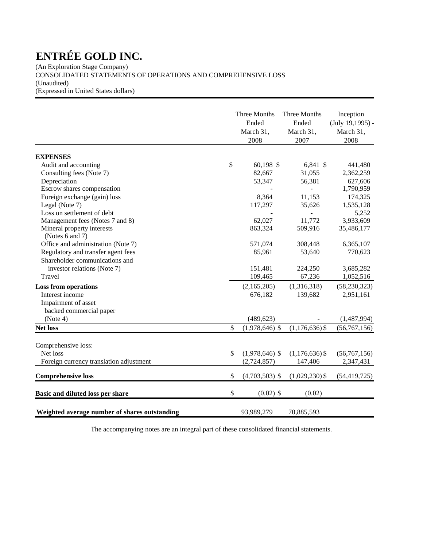(An Exploration Stage Company) CONSOLIDATED STATEMENTS OF OPERATIONS AND COMPREHENSIVE LOSS (Unaudited) (Expressed in United States dollars)

|                                               | Three Months<br>Ended<br>March 31,<br>2008 | Three Months<br>Ended<br>March 31,<br>2007 | Inception<br>$(July 19, 1995) -$<br>March 31,<br>2008 |
|-----------------------------------------------|--------------------------------------------|--------------------------------------------|-------------------------------------------------------|
| <b>EXPENSES</b>                               |                                            |                                            |                                                       |
| Audit and accounting                          | \$<br>60,198 \$                            | 6,841 \$                                   | 441,480                                               |
| Consulting fees (Note 7)                      | 82,667                                     | 31,055                                     | 2,362,259                                             |
| Depreciation                                  | 53,347                                     | 56,381                                     | 627,606                                               |
| Escrow shares compensation                    |                                            |                                            | 1,790,959                                             |
| Foreign exchange (gain) loss                  | 8,364                                      | 11,153                                     | 174,325                                               |
| Legal (Note 7)                                | 117,297                                    | 35,626                                     | 1,535,128                                             |
| Loss on settlement of debt                    |                                            |                                            | 5,252                                                 |
| Management fees (Notes 7 and 8)               | 62,027                                     | 11,772                                     | 3,933,609                                             |
| Mineral property interests<br>(Notes 6 and 7) | 863,324                                    | 509,916                                    | 35,486,177                                            |
| Office and administration (Note 7)            | 571,074                                    | 308,448                                    | 6,365,107                                             |
| Regulatory and transfer agent fees            | 85,961                                     | 53,640                                     | 770,623                                               |
| Shareholder communications and                |                                            |                                            |                                                       |
| investor relations (Note 7)                   | 151,481                                    | 224,250                                    | 3,685,282                                             |
| Travel                                        | 109,465                                    | 67,236                                     | 1,052,516                                             |
| <b>Loss from operations</b>                   | (2,165,205)                                | (1,316,318)                                | (58, 230, 323)                                        |
| Interest income                               | 676,182                                    | 139,682                                    | 2,951,161                                             |
| Impairment of asset                           |                                            |                                            |                                                       |
| backed commercial paper                       |                                            |                                            |                                                       |
| (Note 4)                                      | (489, 623)                                 |                                            | (1,487,994)                                           |
| Net loss                                      | \$<br>$(1,978,646)$ \$                     | $(1,176,636)$ \$                           | (56, 767, 156)                                        |
| Comprehensive loss:                           |                                            |                                            |                                                       |
| Net loss                                      | \$<br>$(1,978,646)$ \$                     | $(1,176,636)$ \$                           | (56,767,156)                                          |
| Foreign currency translation adjustment       | (2, 724, 857)                              | 147,406                                    | 2,347,431                                             |
|                                               |                                            |                                            |                                                       |
| <b>Comprehensive loss</b>                     | \$<br>$(4,703,503)$ \$                     | $(1,029,230)$ \$                           | (54, 419, 725)                                        |
| Basic and diluted loss per share              | \$<br>$(0.02)$ \$                          | (0.02)                                     |                                                       |
| Weighted average number of shares outstanding | 93,989,279                                 | 70,885,593                                 |                                                       |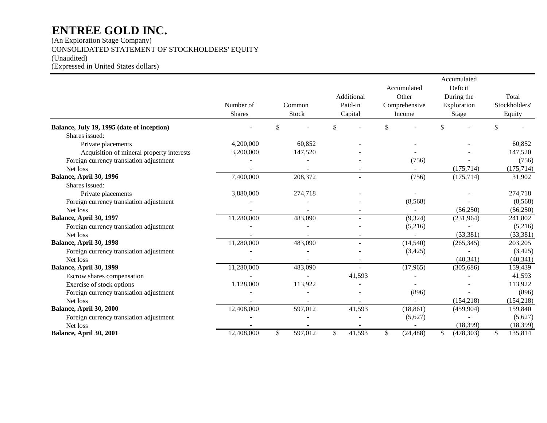(An Exploration Stage Company) CONSOLIDATED STATEMENT OF STOCKHOLDERS' EQUITY (Unaudited) (Expressed in United States dollars)

|                                            |               |               |              |                 | Accumulated      |               |
|--------------------------------------------|---------------|---------------|--------------|-----------------|------------------|---------------|
|                                            |               |               |              | Accumulated     | Deficit          |               |
|                                            |               |               | Additional   | Other           | During the       | Total         |
|                                            | Number of     | Common        | Paid-in      | Comprehensive   | Exploration      | Stockholders' |
|                                            | <b>Shares</b> | Stock         | Capital      | Income          | Stage            | Equity        |
| Balance, July 19, 1995 (date of inception) |               | \$            | \$           | \$              | \$               | \$            |
| Shares issued:                             |               |               |              |                 |                  |               |
| Private placements                         | 4,200,000     | 60,852        |              |                 |                  | 60.852        |
| Acquisition of mineral property interests  | 3,200,000     | 147,520       |              |                 |                  | 147,520       |
| Foreign currency translation adjustment    |               |               |              | (756)           |                  | (756)         |
| Net loss                                   |               |               |              |                 | (175, 714)       | (175, 714)    |
| Balance, April 30, 1996                    | 7,400,000     | 208,372       |              | (756)           | (175, 714)       | 31,902        |
| Shares issued:                             |               |               |              |                 |                  |               |
| Private placements                         | 3,880,000     | 274,718       |              |                 |                  | 274,718       |
| Foreign currency translation adjustment    |               |               |              | (8, 568)        |                  | (8,568)       |
| Net loss                                   |               |               |              |                 | (56, 250)        | (56,250)      |
| Balance, April 30, 1997                    | 11,280,000    | 483,090       |              | (9, 324)        | (231, 964)       | 241,802       |
| Foreign currency translation adjustment    |               |               |              | (5,216)         |                  | (5,216)       |
| Net loss                                   |               |               |              |                 | (33, 381)        | (33, 381)     |
| Balance, April 30, 1998                    | 11,280,000    | 483,090       |              | (14, 540)       | (265, 345)       | 203,205       |
| Foreign currency translation adjustment    |               |               |              | (3,425)         |                  | (3,425)       |
| Net loss                                   |               |               |              |                 | (40, 341)        | (40, 341)     |
| Balance, April 30, 1999                    | 11,280,000    | 483,090       |              | (17,965)        | (305, 686)       | 159,439       |
| Escrow shares compensation                 |               |               | 41,593       |                 |                  | 41,593        |
| Exercise of stock options                  | 1,128,000     | 113,922       |              |                 |                  | 113,922       |
| Foreign currency translation adjustment    |               |               |              | (896)           |                  | (896)         |
| Net loss                                   |               |               |              |                 | (154, 218)       | (154, 218)    |
| Balance, April 30, 2000                    | 12,408,000    | 597,012       | 41,593       | (18, 861)       | (459,904)        | 159,840       |
| Foreign currency translation adjustment    |               |               |              | (5,627)         |                  | (5,627)       |
| Net loss                                   |               |               |              |                 | (18, 399)        | (18, 399)     |
| Balance, April 30, 2001                    | 12,408,000    | \$<br>597,012 | \$<br>41,593 | \$<br>(24, 488) | \$<br>(478, 303) | \$<br>135,814 |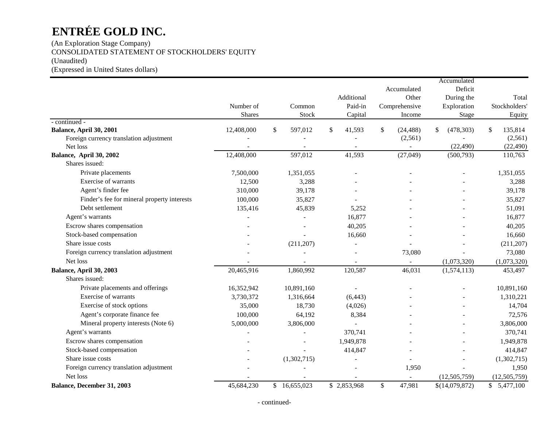(An Exploration Stage Company) CONSOLIDATED STATEMENT OF STOCKHOLDERS' EQUITY (Unaudited) (Expressed in United States dollars)

|                                                     |               |               |                |                          | Accumulated      |                |
|-----------------------------------------------------|---------------|---------------|----------------|--------------------------|------------------|----------------|
|                                                     |               |               |                | Accumulated              | Deficit          |                |
|                                                     |               |               | Additional     | Other                    | During the       | Total          |
|                                                     | Number of     | Common        | Paid-in        | Comprehensive            | Exploration      | Stockholders'  |
|                                                     | <b>Shares</b> | Stock         | Capital        | Income                   | Stage            | Equity         |
| - continued -                                       |               |               |                |                          |                  |                |
| Balance, April 30, 2001                             | 12,408,000    | \$<br>597,012 | \$<br>41,593   | \$<br>(24, 488)          | \$<br>(478, 303) | 135,814<br>\$  |
| Foreign currency translation adjustment             |               |               |                | (2, 561)                 |                  | (2,561)        |
| Net loss                                            |               |               |                | $\overline{\phantom{m}}$ | (22, 490)        | (22, 490)      |
| Balance, April 30, 2002                             | 12,408,000    | 597,012       | 41,593         | (27, 049)                | (500, 793)       | 110,763        |
| Shares issued:                                      |               |               |                |                          |                  |                |
| Private placements                                  | 7,500,000     | 1,351,055     |                |                          |                  | 1,351,055      |
| Exercise of warrants                                | 12,500        | 3,288         |                |                          |                  | 3,288          |
| Agent's finder fee                                  | 310,000       | 39,178        |                |                          |                  | 39,178         |
| Finder's fee for mineral property interests         | 100,000       | 35,827        |                |                          |                  | 35,827         |
| Debt settlement                                     | 135,416       | 45,839        | 5,252          |                          |                  | 51,091         |
| Agent's warrants                                    |               |               | 16,877         |                          |                  | 16,877         |
| Escrow shares compensation                          |               |               | 40,205         |                          |                  | 40,205         |
| Stock-based compensation                            |               |               | 16,660         |                          |                  | 16,660         |
| Share issue costs                                   |               | (211, 207)    | $\blacksquare$ |                          |                  | (211, 207)     |
| Foreign currency translation adjustment             |               |               |                | 73,080                   |                  | 73,080         |
| Net loss                                            |               |               |                |                          | (1,073,320)      | (1,073,320)    |
| Balance, April 30, 2003                             | 20,465,916    | 1,860,992     | 120,587        | 46,031                   | (1,574,113)      | 453,497        |
| Shares issued:                                      |               |               |                |                          |                  |                |
| Private placements and offerings                    | 16,352,942    | 10,891,160    |                |                          |                  | 10,891,160     |
| Exercise of warrants                                | 3,730,372     | 1,316,664     | (6, 443)       |                          |                  | 1,310,221      |
| Exercise of stock options                           | 35,000        | 18,730        | (4,026)        |                          |                  | 14,704         |
| Agent's corporate finance fee                       | 100,000       | 64,192        | 8,384          |                          |                  | 72,576         |
| Mineral property interests (Note 6)                 | 5,000,000     | 3,806,000     |                |                          |                  | 3,806,000      |
| Agent's warrants                                    |               |               | 370,741        |                          |                  | 370,741        |
| Escrow shares compensation                          |               |               | 1,949,878      |                          |                  | 1,949,878      |
| Stock-based compensation                            |               |               | 414,847        |                          |                  | 414,847        |
| Share issue costs                                   |               | (1,302,715)   |                |                          |                  | (1,302,715)    |
|                                                     |               |               |                |                          |                  |                |
| Foreign currency translation adjustment<br>Net loss |               |               |                | 1,950                    |                  | 1,950          |
|                                                     |               |               |                | $\sim$                   | (12,505,759)     | (12, 505, 759) |
| Balance, December 31, 2003                          | 45,684,230    | \$16,655,023  | \$2,853,968    | $\mathsf{\$}$<br>47,981  | \$(14,079,872)   | \$5,477,100    |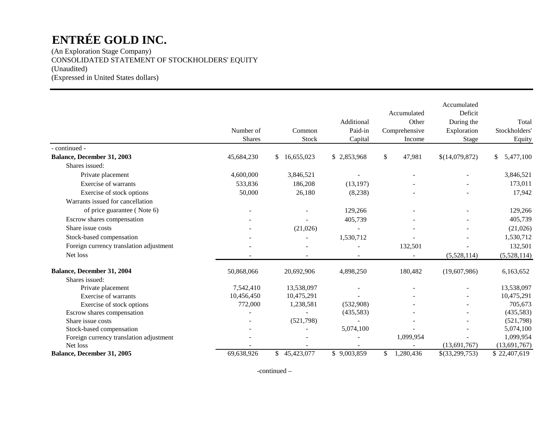(An Exploration Stage Company) CONSOLIDATED STATEMENT OF STOCKHOLDERS' EQUITY (Unaudited) (Expressed in United States dollars)

|                                         | Number of<br><b>Shares</b> | Common<br><b>Stock</b> | Additional<br>Paid-in<br>Capital | Accumulated<br>Other<br>Comprehensive<br>Income | Accumulated<br>Deficit<br>During the<br>Exploration<br>Stage | Total<br>Stockholders'<br>Equity |
|-----------------------------------------|----------------------------|------------------------|----------------------------------|-------------------------------------------------|--------------------------------------------------------------|----------------------------------|
| - continued -                           |                            |                        |                                  |                                                 |                                                              |                                  |
| Balance, December 31, 2003              | 45,684,230                 | 16,655,023<br>\$       | \$2,853,968                      | \$<br>47,981                                    | \$(14,079,872)                                               | \$<br>5,477,100                  |
| Shares issued:                          |                            |                        |                                  |                                                 |                                                              |                                  |
| Private placement                       | 4,600,000                  | 3,846,521              |                                  |                                                 |                                                              | 3,846,521                        |
| Exercise of warrants                    | 533,836                    | 186,208                | (13, 197)                        |                                                 |                                                              | 173,011                          |
| Exercise of stock options               | 50,000                     | 26,180                 | (8,238)                          |                                                 |                                                              | 17,942                           |
| Warrants issued for cancellation        |                            |                        |                                  |                                                 |                                                              |                                  |
| of price guarantee (Note 6)             |                            |                        | 129,266                          |                                                 |                                                              | 129,266                          |
| Escrow shares compensation              |                            |                        | 405,739                          |                                                 |                                                              | 405,739                          |
| Share issue costs                       |                            | (21,026)               |                                  |                                                 |                                                              | (21,026)                         |
| Stock-based compensation                |                            |                        | 1,530,712                        |                                                 |                                                              | 1,530,712                        |
| Foreign currency translation adjustment |                            |                        |                                  | 132,501                                         |                                                              | 132,501                          |
| Net loss                                |                            |                        |                                  |                                                 | (5,528,114)                                                  | (5,528,114)                      |
| Balance, December 31, 2004              | 50,868,066                 | 20,692,906             | 4,898,250                        | 180,482                                         | (19,607,986)                                                 | 6,163,652                        |
| Shares issued:                          |                            |                        |                                  |                                                 |                                                              |                                  |
| Private placement                       | 7,542,410                  | 13,538,097             |                                  |                                                 |                                                              | 13,538,097                       |
| Exercise of warrants                    | 10,456,450                 | 10,475,291             |                                  |                                                 |                                                              | 10,475,291                       |
| Exercise of stock options               | 772,000                    | 1,238,581              | (532,908)                        |                                                 |                                                              | 705,673                          |
| Escrow shares compensation              |                            |                        | (435,583)                        |                                                 |                                                              | (435,583)                        |
| Share issue costs                       |                            | (521,798)              |                                  |                                                 |                                                              | (521,798)                        |
| Stock-based compensation                |                            |                        | 5,074,100                        |                                                 |                                                              | 5,074,100                        |
| Foreign currency translation adjustment |                            |                        |                                  | 1,099,954                                       |                                                              | 1,099,954                        |
| Net loss                                |                            |                        |                                  |                                                 | (13,691,767)                                                 | (13,691,767)                     |
| Balance, December 31, 2005              | 69,638,926                 | \$45,423,077           | \$9,003,859                      | 1,280,436<br>\$                                 | \$(33,299,753)                                               | \$22,407,619                     |

-continued –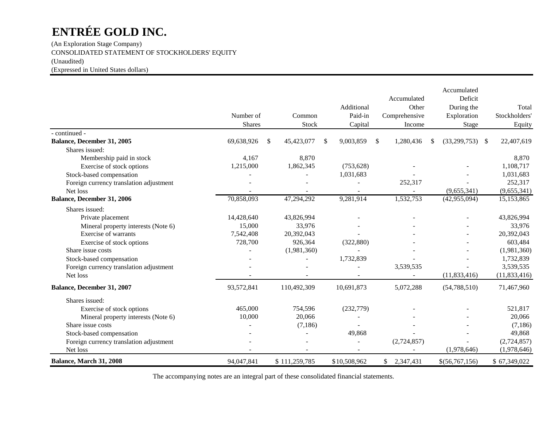(An Exploration Stage Company) CONSOLIDATED STATEMENT OF STOCKHOLDERS' EQUITY (Unaudited) (Expressed in United States dollars)

|                                         | Number of<br><b>Shares</b> | Common<br>Stock  | Additional<br>Paid-in<br>Capital | Accumulated<br>Other<br>Comprehensive<br>Income | Accumulated<br>Deficit<br>During the<br>Exploration<br>Stage | Total<br>Stockholders'<br>Equity |
|-----------------------------------------|----------------------------|------------------|----------------------------------|-------------------------------------------------|--------------------------------------------------------------|----------------------------------|
| - continued -                           |                            |                  |                                  |                                                 |                                                              |                                  |
| Balance, December 31, 2005              | 69,638,926                 | 45,423,077<br>\$ | 9,003,859<br>\$                  | \$<br>1,280,436                                 | \$<br>(33,299,753)                                           | 22,407,619<br>-S                 |
| Shares issued:                          |                            |                  |                                  |                                                 |                                                              |                                  |
| Membership paid in stock                | 4,167                      | 8,870            |                                  |                                                 |                                                              | 8,870                            |
| Exercise of stock options               | 1,215,000                  | 1,862,345        | (753, 628)                       |                                                 |                                                              | 1,108,717                        |
| Stock-based compensation                |                            |                  | 1,031,683                        |                                                 |                                                              | 1,031,683                        |
| Foreign currency translation adjustment |                            |                  |                                  | 252,317                                         |                                                              | 252,317                          |
| Net loss                                |                            |                  |                                  |                                                 | (9,655,341)                                                  | (9,655,341)                      |
| Balance, December 31, 2006              | 70,858,093                 | 47,294,292       | 9,281,914                        | 1,532,753                                       | (42, 955, 094)                                               | 15,153,865                       |
| Shares issued:                          |                            |                  |                                  |                                                 |                                                              |                                  |
| Private placement                       | 14,428,640                 | 43,826,994       |                                  |                                                 |                                                              | 43,826,994                       |
| Mineral property interests (Note 6)     | 15,000                     | 33,976           |                                  |                                                 |                                                              | 33,976                           |
| Exercise of warrants                    | 7,542,408                  | 20,392,043       |                                  |                                                 |                                                              | 20,392,043                       |
| Exercise of stock options               | 728,700                    | 926,364          | (322, 880)                       |                                                 |                                                              | 603,484                          |
| Share issue costs                       |                            | (1,981,360)      |                                  |                                                 |                                                              | (1,981,360)                      |
| Stock-based compensation                |                            |                  | 1,732,839                        |                                                 |                                                              | 1,732,839                        |
| Foreign currency translation adjustment |                            |                  |                                  | 3,539,535                                       |                                                              | 3,539,535                        |
| Net loss                                |                            |                  |                                  |                                                 | (11, 833, 416)                                               | (11, 833, 416)                   |
| Balance, December 31, 2007              | 93,572,841                 | 110,492,309      | 10,691,873                       | 5,072,288                                       | (54, 788, 510)                                               | 71,467,960                       |
| Shares issued:                          |                            |                  |                                  |                                                 |                                                              |                                  |
| Exercise of stock options               | 465,000                    | 754,596          | (232, 779)                       |                                                 |                                                              | 521,817                          |
| Mineral property interests (Note 6)     | 10,000                     | 20,066           |                                  |                                                 |                                                              | 20,066                           |
| Share issue costs                       |                            | (7,186)          |                                  |                                                 |                                                              | (7,186)                          |
| Stock-based compensation                |                            |                  | 49,868                           |                                                 |                                                              | 49,868                           |
| Foreign currency translation adjustment |                            |                  |                                  | (2,724,857)                                     |                                                              | (2,724,857)                      |
| Net loss                                |                            |                  |                                  |                                                 | (1,978,646)                                                  | (1,978,646)                      |
| Balance, March 31, 2008                 | 94,047,841                 | \$111,259,785    | \$10,508,962                     | \$2,347,431                                     | \$(56,767,156)                                               | \$67,349,022                     |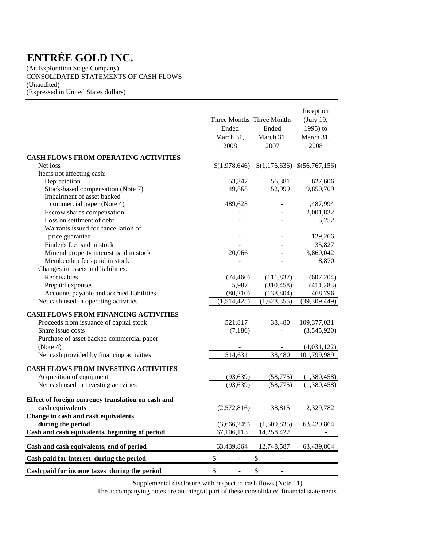(An Exploration Stage Company) CONSOLIDATED STATEMENTS OF CASH FLOWS (Unaudited) (Expressed in United States dollars)

|                                                    | Three Months Three Months<br>Ended<br>March 31,<br>2008 | Ended<br>March 31,<br>2007     | Inception<br>(July 19,<br>1995) to<br>March 31,<br>2008 |
|----------------------------------------------------|---------------------------------------------------------|--------------------------------|---------------------------------------------------------|
| <b>CASH FLOWS FROM OPERATING ACTIVITIES</b>        |                                                         |                                |                                                         |
| Net loss                                           | \$(1,978,646)                                           |                                | $$(1,176,636) \$(56,767,156)$                           |
| Items not affecting cash:                          |                                                         |                                |                                                         |
| Depreciation                                       | 53,347                                                  | 56,381                         | 627,606                                                 |
| Stock-based compensation (Note 7)                  | 49,868                                                  | 52,999                         | 9,850,709                                               |
| Impairment of asset backed                         |                                                         |                                |                                                         |
| commercial paper (Note 4)                          | 489,623                                                 |                                | 1,487,994                                               |
| Escrow shares compensation                         |                                                         |                                | 2,001,832                                               |
| Loss on settlment of debt                          |                                                         |                                | 5,252                                                   |
| Warrants issued for cancellation of                |                                                         |                                |                                                         |
| price guarantee                                    |                                                         |                                | 129,266                                                 |
| Finder's fee paid in stock                         |                                                         |                                | 35,827                                                  |
| Mineral property interest paid in stock            | 20,066                                                  |                                | 3,860,042                                               |
| Membership fees paid in stock                      |                                                         |                                | 8,870                                                   |
| Changes in assets and liabilities:                 |                                                         |                                |                                                         |
| Receivables                                        | (74, 460)                                               | (111, 837)                     | (607, 204)                                              |
| Prepaid expenses                                   | 5,987                                                   | (310, 458)                     | (411, 283)                                              |
| Accounts payable and accrued liabilities           | (80, 210)                                               | (138, 804)                     | 468,796                                                 |
| Net cash used in operating activities              | (1,514,425)                                             | (1,628,355)                    | (39, 309, 449)                                          |
| CASH FLOWS FROM FINANCING ACTIVITIES               |                                                         |                                |                                                         |
| Proceeds from issuance of capital stock            | 521,817                                                 | 38,480                         | 109,377,031                                             |
| Share issue costs                                  | (7, 186)                                                |                                | (3,545,920)                                             |
| Purchase of asset backed commercial paper          |                                                         |                                |                                                         |
| (Note 4)                                           |                                                         |                                | (4,031,122)                                             |
| Net cash provided by financing activities          | 514,631                                                 | 38,480                         | 101,799,989                                             |
|                                                    |                                                         |                                |                                                         |
| <b>CASH FLOWS FROM INVESTING ACTIVITIES</b>        |                                                         |                                |                                                         |
| Acquisition of equipment                           | (93, 639)                                               | (58, 775)                      | (1,380,458)                                             |
| Net cash used in investing activities              | (93, 639)                                               | (58, 775)                      | (1,380,458)                                             |
| Effect of foreign currency translation on cash and |                                                         |                                |                                                         |
| cash equivalents                                   | (2,572,816)                                             | 138,815                        | 2,329,782                                               |
| Change in cash and cash equivalents                |                                                         |                                |                                                         |
| during the period                                  | (3,666,249)                                             | (1,509,835)                    | 63,439,864                                              |
| Cash and cash equivalents, beginning of period     | 67,106,113                                              | 14,258,422                     |                                                         |
|                                                    |                                                         |                                |                                                         |
| Cash and cash equivalents, end of period           | 63,439,864                                              | 12,748,587                     | 63,439,864                                              |
| Cash paid for interest during the period           | \$<br>$\qquad \qquad \blacksquare$                      | \$<br>-                        |                                                         |
| Cash paid for income taxes during the period       | \$<br>$\qquad \qquad \blacksquare$                      | \$<br>$\overline{\phantom{a}}$ |                                                         |

Supplemental disclosure with respect to cash flows (Note 11)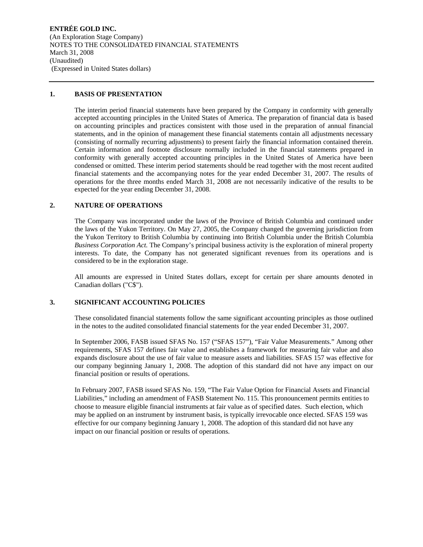**ENTRÉE GOLD INC.**  (An Exploration Stage Company) NOTES TO THE CONSOLIDATED FINANCIAL STATEMENTS March 31, 2008 (Unaudited) (Expressed in United States dollars)

#### **1. BASIS OF PRESENTATION**

The interim period financial statements have been prepared by the Company in conformity with generally accepted accounting principles in the United States of America. The preparation of financial data is based on accounting principles and practices consistent with those used in the preparation of annual financial statements, and in the opinion of management these financial statements contain all adjustments necessary (consisting of normally recurring adjustments) to present fairly the financial information contained therein. Certain information and footnote disclosure normally included in the financial statements prepared in conformity with generally accepted accounting principles in the United States of America have been condensed or omitted. These interim period statements should be read together with the most recent audited financial statements and the accompanying notes for the year ended December 31, 2007. The results of operations for the three months ended March 31, 2008 are not necessarily indicative of the results to be expected for the year ending December 31, 2008.

#### **2. NATURE OF OPERATIONS**

The Company was incorporated under the laws of the Province of British Columbia and continued under the laws of the Yukon Territory. On May 27, 2005, the Company changed the governing jurisdiction from the Yukon Territory to British Columbia by continuing into British Columbia under the British Columbia *Business Corporation Act.* The Company's principal business activity is the exploration of mineral property interests. To date, the Company has not generated significant revenues from its operations and is considered to be in the exploration stage.

All amounts are expressed in United States dollars, except for certain per share amounts denoted in Canadian dollars ("C\$").

#### **3. SIGNIFICANT ACCOUNTING POLICIES**

These consolidated financial statements follow the same significant accounting principles as those outlined in the notes to the audited consolidated financial statements for the year ended December 31, 2007.

In September 2006, FASB issued SFAS No. 157 ("SFAS 157"), "Fair Value Measurements." Among other requirements, SFAS 157 defines fair value and establishes a framework for measuring fair value and also expands disclosure about the use of fair value to measure assets and liabilities. SFAS 157 was effective for our company beginning January 1, 2008. The adoption of this standard did not have any impact on our financial position or results of operations.

In February 2007, FASB issued SFAS No. 159, "The Fair Value Option for Financial Assets and Financial Liabilities," including an amendment of FASB Statement No. 115. This pronouncement permits entities to choose to measure eligible financial instruments at fair value as of specified dates. Such election, which may be applied on an instrument by instrument basis, is typically irrevocable once elected. SFAS 159 was effective for our company beginning January 1, 2008. The adoption of this standard did not have any impact on our financial position or results of operations.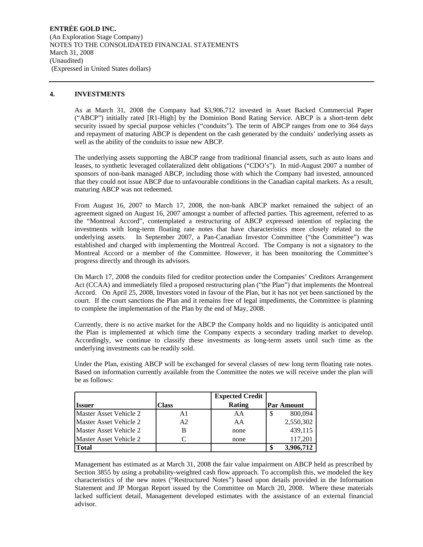**ENTRÉE GOLD INC.**  (An Exploration Stage Company) NOTES TO THE CONSOLIDATED FINANCIAL STATEMENTS March 31, 2008 (Unaudited) (Expressed in United States dollars)

#### **4. INVESTMENTS**

As at March 31, 2008 the Company had \$3,906,712 invested in Asset Backed Commercial Paper ("ABCP") initially rated [R1-High] by the Dominion Bond Rating Service. ABCP is a short-term debt security issued by special purpose vehicles ("conduits"). The term of ABCP ranges from one to 364 days and repayment of maturing ABCP is dependent on the cash generated by the conduits' underlying assets as well as the ability of the conduits to issue new ABCP.

The underlying assets supporting the ABCP range from traditional financial assets, such as auto loans and leases, to synthetic leveraged collateralized debt obligations ("CDO's"). In mid-August 2007 a number of sponsors of non-bank managed ABCP, including those with which the Company had invested, announced that they could not issue ABCP due to unfavourable conditions in the Canadian capital markets. As a result, maturing ABCP was not redeemed.

From August 16, 2007 to March 17, 2008, the non-bank ABCP market remained the subject of an agreement signed on August 16, 2007 amongst a number of affected parties. This agreement, referred to as the "Montreal Accord", contemplated a restructuring of ABCP expressed intention of replacing the investments with long-term floating rate notes that have characteristics more closely related to the underlying assets. In September 2007, a Pan-Canadian Investor Committee ("the Committee") was established and charged with implementing the Montreal Accord. The Company is not a signatory to the Montreal Accord or a member of the Committee. However, it has been monitoring the Committee's progress directly and through its advisors.

On March 17, 2008 the conduits filed for creditor protection under the Companies' Creditors Arrangement Act (CCAA) and immediately filed a proposed restructuring plan ("the Plan") that implements the Montreal Accord. On April 25, 2008, Investors voted in favour of the Plan, but it has not yet been sanctioned by the court. If the court sanctions the Plan and it remains free of legal impediments, the Committee is planning to complete the implementation of the Plan by the end of May, 2008.

Currently, there is no active market for the ABCP the Company holds and no liquidity is anticipated until the Plan is implemented at which time the Company expects a secondary trading market to develop. Accordingly, we continue to classify these investments as long-term assets until such time as the underlying investments can be readily sold.

Under the Plan, existing ABCP will be exchanged for several classes of new long term floating rate notes. Based on information currently available from the Committee the notes we will receive under the plan will be as follows:

|                               |       | <b>Expected Credit</b> |                   |
|-------------------------------|-------|------------------------|-------------------|
| <b>Issuer</b>                 | Class | Rating                 | <b>Par Amount</b> |
| Master Asset Vehicle 2        | A1    | AA                     | 800,094           |
| <b>Master Asset Vehicle 2</b> | A2    | AA                     | 2,550,302         |
| <b>Master Asset Vehicle 2</b> |       | none                   | 439,115           |
| <b>Master Asset Vehicle 2</b> |       | none                   | 117,201           |
| <b>Total</b>                  |       |                        | 3,906,712         |

Management has estimated as at March 31, 2008 the fair value impairment on ABCP held as prescribed by Section 3855 by using a probability-weighted cash flow approach. To accomplish this, we modeled the key characteristics of the new notes ("Restructured Notes") based upon details provided in the Information Statement and JP Morgan Report issued by the Committee on March 20, 2008. Where these materials lacked sufficient detail, Management developed estimates with the assistance of an external financial advisor.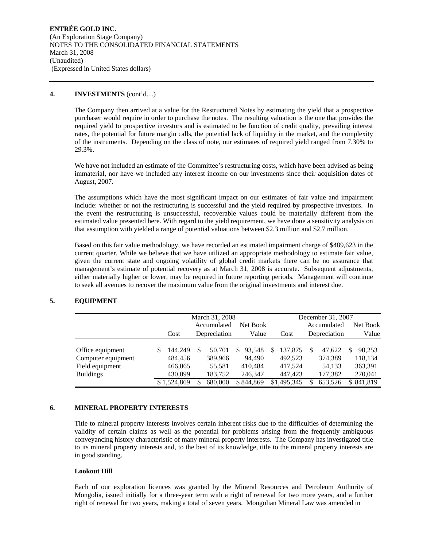#### **4. INVESTMENTS** (cont'd…)

The Company then arrived at a value for the Restructured Notes by estimating the yield that a prospective purchaser would require in order to purchase the notes. The resulting valuation is the one that provides the required yield to prospective investors and is estimated to be function of credit quality, prevailing interest rates, the potential for future margin calls, the potential lack of liquidity in the market, and the complexity of the instruments. Depending on the class of note, our estimates of required yield ranged from 7.30% to 29.3%.

We have not included an estimate of the Committee's restructuring costs, which have been advised as being immaterial, nor have we included any interest income on our investments since their acquisition dates of August, 2007.

The assumptions which have the most significant impact on our estimates of fair value and impairment include: whether or not the restructuring is successful and the yield required by prospective investors. In the event the restructuring is unsuccessful, recoverable values could be materially different from the estimated value presented here. With regard to the yield requirement, we have done a sensitivity analysis on that assumption with yielded a range of potential valuations between \$2.3 million and \$2.7 million.

Based on this fair value methodology, we have recorded an estimated impairment charge of \$489,623 in the current quarter. While we believe that we have utilized an appropriate methodology to estimate fair value, given the current state and ongoing volatility of global credit markets there can be no assurance that management's estimate of potential recovery as at March 31, 2008 is accurate. Subsequent adjustments, either materially higher or lower, may be required in future reporting periods. Management will continue to seek all avenues to recover the maximum value from the original investments and interest due.

#### **5. EQUIPMENT**

|                    |   | March 31, 2008 |  |              |             |   | December 31, 2007 |  |              |    |          |
|--------------------|---|----------------|--|--------------|-------------|---|-------------------|--|--------------|----|----------|
|                    |   |                |  | Accumulated  | Net Book    |   |                   |  | Accumulated  |    | Net Book |
|                    |   | Cost           |  | Depreciation | Value       |   | Cost              |  | Depreciation |    | Value    |
|                    |   |                |  |              |             |   |                   |  |              |    |          |
| Office equipment   | S | 144.249        |  | 50,701       | 93.548<br>S | S | 137,875           |  | 47.622       | S  | 90,253   |
| Computer equipment |   | 484,456        |  | 389,966      | 94.490      |   | 492.523           |  | 374,389      |    | 118,134  |
| Field equipment    |   | 466,065        |  | 55,581       | 410.484     |   | 417.524           |  | 54,133       |    | 363,391  |
| <b>Buildings</b>   |   | 430.099        |  | 183,752      | 246.347     |   | 447.423           |  | 177,382      |    | 270,041  |
|                    |   | \$1.524.869    |  | 680,000      | \$844.869   |   | \$1,495,345       |  | 653.526      | S. | 841.819  |

#### **6. MINERAL PROPERTY INTERESTS**

Title to mineral property interests involves certain inherent risks due to the difficulties of determining the validity of certain claims as well as the potential for problems arising from the frequently ambiguous conveyancing history characteristic of many mineral property interests. The Company has investigated title to its mineral property interests and, to the best of its knowledge, title to the mineral property interests are in good standing.

#### **Lookout Hill**

Each of our exploration licences was granted by the Mineral Resources and Petroleum Authority of Mongolia, issued initially for a three-year term with a right of renewal for two more years, and a further right of renewal for two years, making a total of seven years. Mongolian Mineral Law was amended in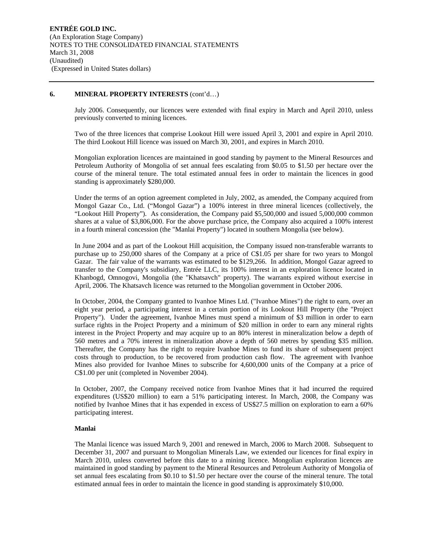#### **6. MINERAL PROPERTY INTERESTS** (cont'd…)

July 2006. Consequently, our licences were extended with final expiry in March and April 2010, unless previously converted to mining licences.

Two of the three licences that comprise Lookout Hill were issued April 3, 2001 and expire in April 2010. The third Lookout Hill licence was issued on March 30, 2001, and expires in March 2010.

Mongolian exploration licences are maintained in good standing by payment to the Mineral Resources and Petroleum Authority of Mongolia of set annual fees escalating from \$0.05 to \$1.50 per hectare over the course of the mineral tenure. The total estimated annual fees in order to maintain the licences in good standing is approximately \$280,000.

Under the terms of an option agreement completed in July, 2002, as amended, the Company acquired from Mongol Gazar Co., Ltd. ("Mongol Gazar") a 100% interest in three mineral licences (collectively, the "Lookout Hill Property"). As consideration, the Company paid \$5,500,000 and issued 5,000,000 common shares at a value of \$3,806,000. For the above purchase price, the Company also acquired a 100% interest in a fourth mineral concession (the "Manlai Property") located in southern Mongolia (see below).

In June 2004 and as part of the Lookout Hill acquisition, the Company issued non-transferable warrants to purchase up to 250,000 shares of the Company at a price of C\$1.05 per share for two years to Mongol Gazar. The fair value of the warrants was estimated to be \$129,266. In addition, Mongol Gazar agreed to transfer to the Company's subsidiary, Entrée LLC, its 100% interest in an exploration licence located in Khanbogd, Omnogovi, Mongolia (the "Khatsavch" property). The warrants expired without exercise in April, 2006. The Khatsavch licence was returned to the Mongolian government in October 2006.

In October, 2004, the Company granted to Ivanhoe Mines Ltd. ("Ivanhoe Mines") the right to earn, over an eight year period, a participating interest in a certain portion of its Lookout Hill Property (the "Project Property"). Under the agreement, Ivanhoe Mines must spend a minimum of \$3 million in order to earn surface rights in the Project Property and a minimum of \$20 million in order to earn any mineral rights interest in the Project Property and may acquire up to an 80% interest in mineralization below a depth of 560 metres and a 70% interest in mineralization above a depth of 560 metres by spending \$35 million. Thereafter, the Company has the right to require Ivanhoe Mines to fund its share of subsequent project costs through to production, to be recovered from production cash flow. The agreement with Ivanhoe Mines also provided for Ivanhoe Mines to subscribe for 4,600,000 units of the Company at a price of C\$1.00 per unit (completed in November 2004).

In October, 2007, the Company received notice from Ivanhoe Mines that it had incurred the required expenditures (US\$20 million) to earn a 51% participating interest. In March, 2008, the Company was notified by Ivanhoe Mines that it has expended in excess of US\$27.5 million on exploration to earn a 60% participating interest.

#### **Manlai**

The Manlai licence was issued March 9, 2001 and renewed in March, 2006 to March 2008. Subsequent to December 31, 2007 and pursuant to Mongolian Minerals Law, we extended our licences for final expiry in March 2010, unless converted before this date to a mining licence. Mongolian exploration licences are maintained in good standing by payment to the Mineral Resources and Petroleum Authority of Mongolia of set annual fees escalating from \$0.10 to \$1.50 per hectare over the course of the mineral tenure. The total estimated annual fees in order to maintain the licence in good standing is approximately \$10,000.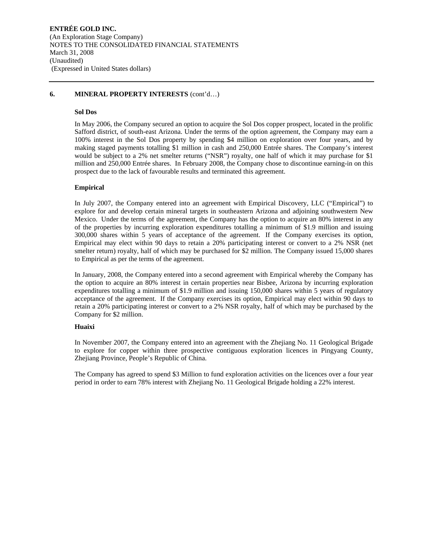#### **6. MINERAL PROPERTY INTERESTS** (cont'd…)

#### **Sol Dos**

In May 2006, the Company secured an option to acquire the Sol Dos copper prospect, located in the prolific Safford district, of south-east Arizona. Under the terms of the option agreement, the Company may earn a 100% interest in the Sol Dos property by spending \$4 million on exploration over four years, and by making staged payments totalling \$1 million in cash and 250,000 Entrée shares. The Company's interest would be subject to a 2% net smelter returns ("NSR") royalty, one half of which it may purchase for \$1 million and 250,000 Entrée shares. In February 2008, the Company chose to discontinue earning-in on this prospect due to the lack of favourable results and terminated this agreement.

#### **Empirical**

In July 2007, the Company entered into an agreement with Empirical Discovery, LLC ("Empirical") to explore for and develop certain mineral targets in southeastern Arizona and adjoining southwestern New Mexico. Under the terms of the agreement, the Company has the option to acquire an 80% interest in any of the properties by incurring exploration expenditures totalling a minimum of \$1.9 million and issuing 300,000 shares within 5 years of acceptance of the agreement. If the Company exercises its option, Empirical may elect within 90 days to retain a 20% participating interest or convert to a 2% NSR (net smelter return) royalty, half of which may be purchased for \$2 million. The Company issued 15,000 shares to Empirical as per the terms of the agreement.

In January, 2008, the Company entered into a second agreement with Empirical whereby the Company has the option to acquire an 80% interest in certain properties near Bisbee, Arizona by incurring exploration expenditures totalling a minimum of \$1.9 million and issuing 150,000 shares within 5 years of regulatory acceptance of the agreement. If the Company exercises its option, Empirical may elect within 90 days to retain a 20% participating interest or convert to a 2% NSR royalty, half of which may be purchased by the Company for \$2 million.

#### **Huaixi**

In November 2007, the Company entered into an agreement with the Zhejiang No. 11 Geological Brigade to explore for copper within three prospective contiguous exploration licences in Pingyang County, Zhejiang Province, People's Republic of China.

The Company has agreed to spend \$3 Million to fund exploration activities on the licences over a four year period in order to earn 78% interest with Zhejiang No. 11 Geological Brigade holding a 22% interest.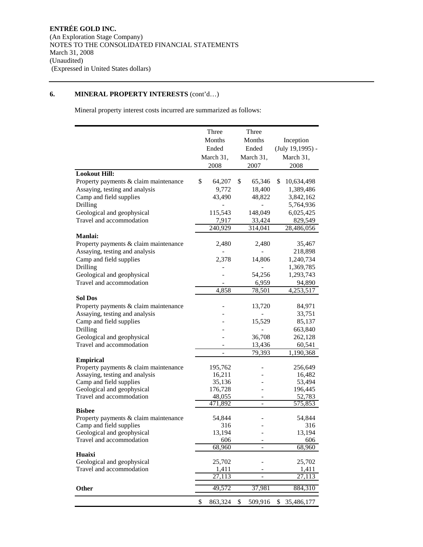### **6. MINERAL PROPERTY INTERESTS** (cont'd…)

Mineral property interest costs incurred are summarized as follows:

|                                       | Three               | Three                    |                    |
|---------------------------------------|---------------------|--------------------------|--------------------|
|                                       | Months              | Months                   | Inception          |
|                                       | Ended               | Ended                    | (July 19,1995) -   |
|                                       | March 31,           | March 31,                | March 31,          |
|                                       | 2008                | 2007                     | 2008               |
| <b>Lookout Hill:</b>                  |                     |                          |                    |
| Property payments & claim maintenance | \$<br>64,207        | \$<br>65,346             | \$<br>10,634,498   |
| Assaying, testing and analysis        | 9,772               | 18,400                   | 1,389,486          |
| Camp and field supplies               | 43,490              | 48,822                   | 3,842,162          |
| Drilling                              |                     |                          | 5,764,936          |
| Geological and geophysical            | 115,543             | 148,049                  | 6,025,425          |
| Travel and accommodation              | 7,917               | 33,424                   | 829,549            |
|                                       | 240,929             | 314,041                  | 28,486,056         |
| <b>Manlai:</b>                        |                     |                          |                    |
| Property payments & claim maintenance | 2,480               | 2,480                    | 35,467             |
| Assaying, testing and analysis        |                     |                          | 218,898            |
| Camp and field supplies               | 2,378               | 14,806                   | 1,240,734          |
| Drilling                              |                     |                          | 1,369,785          |
| Geological and geophysical            |                     | 54,256                   | 1,293,743          |
| Travel and accommodation              |                     | 6,959                    | 94,890             |
|                                       | 4,858               | 78,501                   | 4,253,517          |
| <b>Sol Dos</b>                        |                     |                          |                    |
| Property payments & claim maintenance |                     | 13,720                   | 84,971             |
| Assaying, testing and analysis        |                     |                          | 33,751             |
| Camp and field supplies<br>Drilling   |                     | 15,529                   | 85,137             |
| Geological and geophysical            |                     | 36,708                   | 663,840<br>262,128 |
| Travel and accommodation              |                     | 13,436                   | 60,541             |
|                                       | $\overline{a}$      | 79,393                   | 1,190,368          |
| <b>Empirical</b>                      |                     |                          |                    |
| Property payments & claim maintenance | 195,762             |                          | 256,649            |
| Assaying, testing and analysis        | 16,211              |                          | 16,482             |
| Camp and field supplies               | 35,136              |                          | 53,494             |
| Geological and geophysical            | 176,728             |                          | 196,445            |
| Travel and accommodation              | 48,055              |                          | 52,783             |
| <b>Bisbee</b>                         | 471,892             | $\overline{\phantom{m}}$ | 575,853            |
| Property payments & claim maintenance | 54,844              |                          | 54,844             |
| Camp and field supplies               | 316                 |                          | 316                |
| Geological and geophysical            | 13,194              |                          | 13,194             |
| Travel and accommodation              | 606                 |                          | 606                |
|                                       | 68,960              |                          | 68,960             |
| Huaixi                                |                     |                          |                    |
| Geological and geophysical            | 25,702              |                          | 25,702             |
| Travel and accommodation              | 1,411               |                          | 1,411              |
|                                       | $\overline{27,1}13$ | $\overline{\phantom{0}}$ | 27,113             |
| Other                                 | 49,572              | 37,981                   | 884,310            |
|                                       | \$<br>863,324       | \$<br>509,916            | \$ 35,486,177      |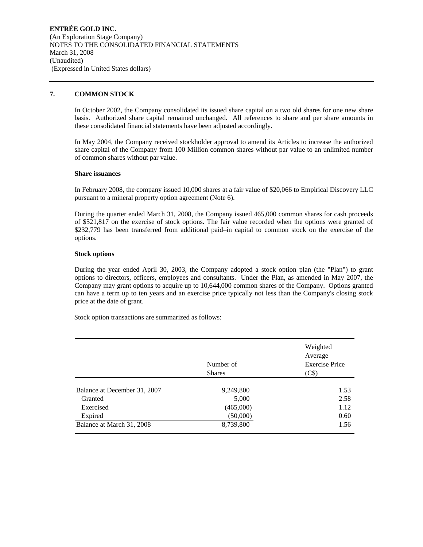#### **7. COMMON STOCK**

In October 2002, the Company consolidated its issued share capital on a two old shares for one new share basis. Authorized share capital remained unchanged. All references to share and per share amounts in these consolidated financial statements have been adjusted accordingly.

In May 2004, the Company received stockholder approval to amend its Articles to increase the authorized share capital of the Company from 100 Million common shares without par value to an unlimited number of common shares without par value.

#### **Share issuances**

In February 2008, the company issued 10,000 shares at a fair value of \$20,066 to Empirical Discovery LLC pursuant to a mineral property option agreement (Note 6).

During the quarter ended March 31, 2008, the Company issued 465,000 common shares for cash proceeds of \$521,817 on the exercise of stock options. The fair value recorded when the options were granted of \$232,779 has been transferred from additional paid–in capital to common stock on the exercise of the options.

#### **Stock options**

During the year ended April 30, 2003, the Company adopted a stock option plan (the "Plan") to grant options to directors, officers, employees and consultants. Under the Plan, as amended in May 2007, the Company may grant options to acquire up to 10,644,000 common shares of the Company. Options granted can have a term up to ten years and an exercise price typically not less than the Company's closing stock price at the date of grant.

Stock option transactions are summarized as follows:

|                              | Number of<br><b>Shares</b> | Weighted<br>Average<br><b>Exercise Price</b><br>(C\$) |
|------------------------------|----------------------------|-------------------------------------------------------|
| Balance at December 31, 2007 | 9,249,800                  | 1.53                                                  |
| Granted                      | 5,000                      | 2.58                                                  |
| Exercised                    | (465,000)                  | 1.12                                                  |
| Expired                      | (50,000)                   | 0.60                                                  |
| Balance at March 31, 2008    | 8,739,800                  | 1.56                                                  |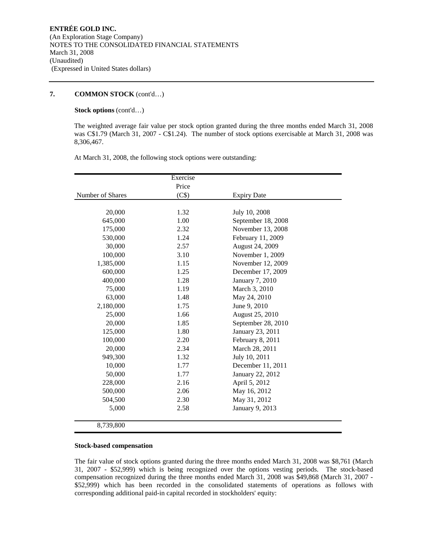#### **7. COMMON STOCK** (cont'd…)

#### **Stock options** (cont'd…)

The weighted average fair value per stock option granted during the three months ended March 31, 2008 was C\$1.79 (March 31, 2007 - C\$1.24). The number of stock options exercisable at March 31, 2008 was 8,306,467.

At March 31, 2008, the following stock options were outstanding:

|                  | Exercise |                    |  |
|------------------|----------|--------------------|--|
|                  | Price    |                    |  |
| Number of Shares | (C\$)    | <b>Expiry Date</b> |  |
|                  |          |                    |  |
| 20,000           | 1.32     | July 10, 2008      |  |
| 645,000          | 1.00     | September 18, 2008 |  |
| 175,000          | 2.32     | November 13, 2008  |  |
| 530,000          | 1.24     | February 11, 2009  |  |
| 30,000           | 2.57     | August 24, 2009    |  |
| 100,000          | 3.10     | November 1, 2009   |  |
| 1,385,000        | 1.15     | November 12, 2009  |  |
| 600,000          | 1.25     | December 17, 2009  |  |
| 400,000          | 1.28     | January 7, 2010    |  |
| 75,000           | 1.19     | March 3, 2010      |  |
| 63,000           | 1.48     | May 24, 2010       |  |
| 2,180,000        | 1.75     | June 9, 2010       |  |
| 25,000           | 1.66     | August 25, 2010    |  |
| 20,000           | 1.85     | September 28, 2010 |  |
| 125,000          | 1.80     | January 23, 2011   |  |
| 100,000          | 2.20     | February 8, 2011   |  |
| 20,000           | 2.34     | March 28, 2011     |  |
| 949,300          | 1.32     | July 10, 2011      |  |
| 10,000           | 1.77     | December 11, 2011  |  |
| 50,000           | 1.77     | January 22, 2012   |  |
| 228,000          | 2.16     | April 5, 2012      |  |
| 500,000          | 2.06     | May 16, 2012       |  |
| 504,500          | 2.30     | May 31, 2012       |  |
| 5,000            | 2.58     | January 9, 2013    |  |
|                  |          |                    |  |
| 8,739,800        |          |                    |  |

#### **Stock-based compensation**

The fair value of stock options granted during the three months ended March 31, 2008 was \$8,761 (March 31, 2007 - \$52,999) which is being recognized over the options vesting periods. The stock-based compensation recognized during the three months ended March 31, 2008 was \$49,868 (March 31, 2007 - \$52,999) which has been recorded in the consolidated statements of operations as follows with corresponding additional paid-in capital recorded in stockholders' equity: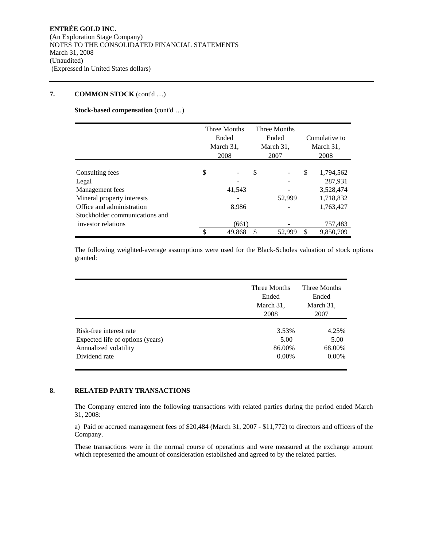#### **7. COMMON STOCK** (cont'd …)

#### **Stock-based compensation** (cont'd …)

|                                                                                                                                          | Three Months<br>Ended<br>March 31,<br>2008 |                 | Three Months<br>Ended<br>March 31,<br>2007 |        | Cumulative to<br>March 31,<br>2008 |                                                             |
|------------------------------------------------------------------------------------------------------------------------------------------|--------------------------------------------|-----------------|--------------------------------------------|--------|------------------------------------|-------------------------------------------------------------|
| Consulting fees<br>Legal<br>Management fees<br>Mineral property interests<br>Office and administration<br>Stockholder communications and | \$                                         | 41,543<br>8,986 | \$                                         | 52,999 | \$                                 | 1,794,562<br>287,931<br>3,528,474<br>1,718,832<br>1,763,427 |
| investor relations                                                                                                                       |                                            | (661)<br>49,868 | S                                          | 52.999 | \$                                 | 757,483<br>9,850,709                                        |

The following weighted-average assumptions were used for the Black-Scholes valuation of stock options granted:

|                                  | Three Months<br>Ended<br>March 31,<br>2008 | Three Months<br>Ended<br>March 31,<br>2007 |
|----------------------------------|--------------------------------------------|--------------------------------------------|
| Risk-free interest rate          | 3.53%                                      | 4.25%                                      |
| Expected life of options (years) | 5.00                                       | 5.00                                       |
| Annualized volatility            | 86.00%                                     | 68.00%                                     |
| Dividend rate                    | $0.00\%$                                   | $0.00\%$                                   |

#### **8. RELATED PARTY TRANSACTIONS**

The Company entered into the following transactions with related parties during the period ended March 31, 2008:

a) Paid or accrued management fees of \$20,484 (March 31, 2007 - \$11,772) to directors and officers of the Company.

These transactions were in the normal course of operations and were measured at the exchange amount which represented the amount of consideration established and agreed to by the related parties.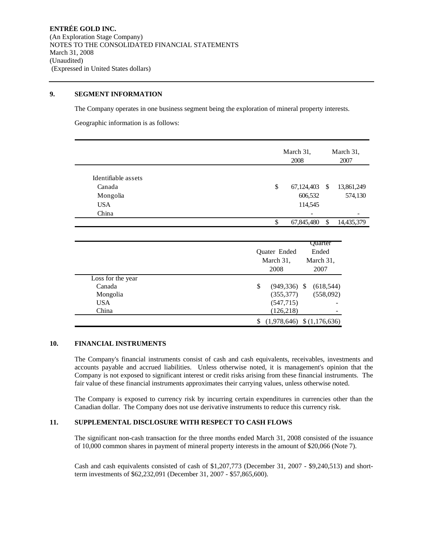#### **9. SEGMENT INFORMATION**

The Company operates in one business segment being the exploration of mineral property interests.

Geographic information is as follows:

|                                                                  | March 31,<br>March 31,<br>2008<br>2007                                                     |
|------------------------------------------------------------------|--------------------------------------------------------------------------------------------|
| Identifiable assets<br>Canada<br>Mongolia<br><b>USA</b><br>China | \$<br>13,861,249<br>67,124,403<br><sup>\$</sup><br>606,532<br>574,130<br>114,545           |
|                                                                  | \$<br>\$<br>67,845,480<br>14,435,379                                                       |
|                                                                  | Quarter<br>Quater Ended<br>Ended<br>March 31,<br>March 31,<br>2007<br>2008                 |
| Loss for the year<br>Canada<br>Mongolia<br>USA.<br>China         | \$<br>$(949, 336)$ \$<br>(618, 544)<br>(355, 377)<br>(558,092)<br>(547, 715)<br>(126, 218) |

#### **10. FINANCIAL INSTRUMENTS**

The Company's financial instruments consist of cash and cash equivalents, receivables, investments and accounts payable and accrued liabilities. Unless otherwise noted, it is management's opinion that the Company is not exposed to significant interest or credit risks arising from these financial instruments. The fair value of these financial instruments approximates their carrying values, unless otherwise noted.

 $$$  (1,978,646)  $$$  (1,176,636)

The Company is exposed to currency risk by incurring certain expenditures in currencies other than the Canadian dollar. The Company does not use derivative instruments to reduce this currency risk.

#### **11. SUPPLEMENTAL DISCLOSURE WITH RESPECT TO CASH FLOWS**

The significant non-cash transaction for the three months ended March 31, 2008 consisted of the issuance of 10,000 common shares in payment of mineral property interests in the amount of \$20,066 (Note 7).

Cash and cash equivalents consisted of cash of \$1,207,773 (December 31, 2007 - \$9,240,513) and shortterm investments of \$62,232,091 (December 31, 2007 - \$57,865,600).